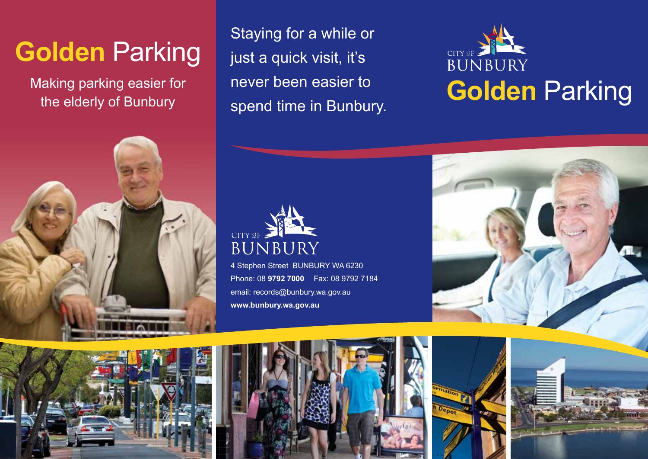# **Golden** Parking

Making parking easier for the elderly of Bunbury

Staying for a while or just a quick visit, it's never been easier to spend time in Bunbury.







4 Stephen Street BUNBURY WA 6230 Phone: 08 **9792 7000** Fax: 08 9792 7184 email: records@bunbury.wa.gov.au **www.bunbury.wa.gov.au**